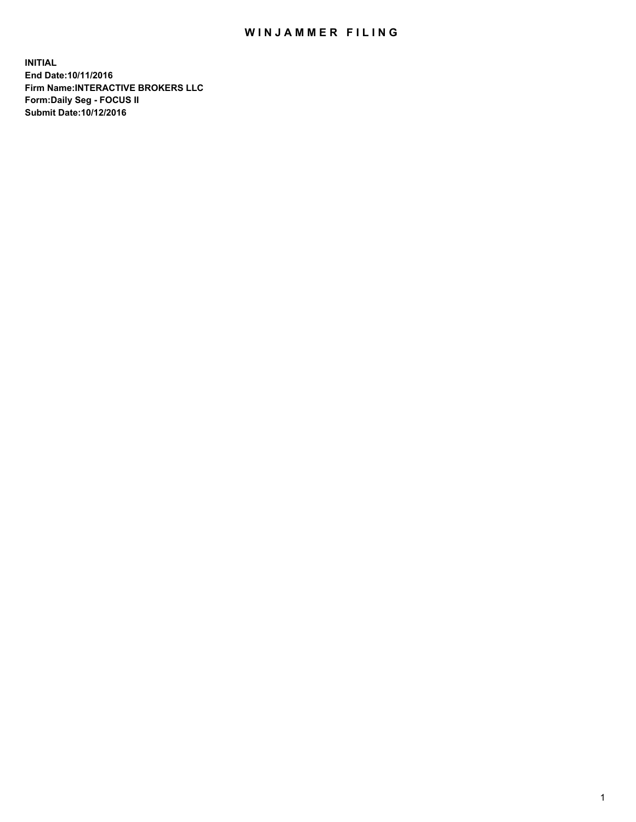## WIN JAMMER FILING

**INITIAL End Date:10/11/2016 Firm Name:INTERACTIVE BROKERS LLC Form:Daily Seg - FOCUS II Submit Date:10/12/2016**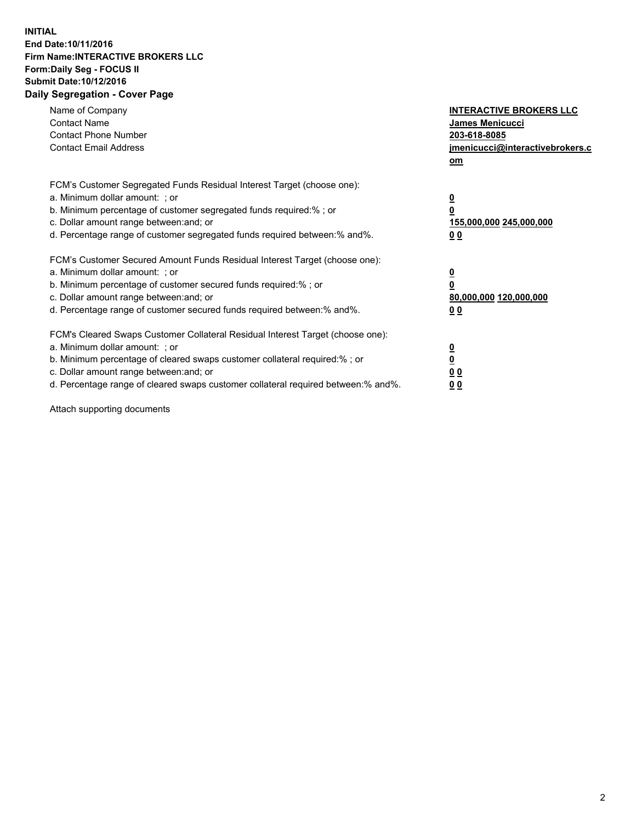## **INITIAL End Date:10/11/2016 Firm Name:INTERACTIVE BROKERS LLC Form:Daily Seg - FOCUS II Submit Date:10/12/2016 Daily Segregation - Cover Page**

| Name of Company<br><b>Contact Name</b><br><b>Contact Phone Number</b><br><b>Contact Email Address</b>                                                                                                                                                                                                                          | <b>INTERACTIVE BROKERS LLC</b><br><b>James Menicucci</b><br>203-618-8085<br>jmenicucci@interactivebrokers.c<br>om |
|--------------------------------------------------------------------------------------------------------------------------------------------------------------------------------------------------------------------------------------------------------------------------------------------------------------------------------|-------------------------------------------------------------------------------------------------------------------|
| FCM's Customer Segregated Funds Residual Interest Target (choose one):<br>a. Minimum dollar amount: ; or<br>b. Minimum percentage of customer segregated funds required:%; or<br>c. Dollar amount range between: and; or<br>d. Percentage range of customer segregated funds required between:% and%.                          | $\overline{\mathbf{0}}$<br>0<br>155,000,000 245,000,000<br>0 <sub>0</sub>                                         |
| FCM's Customer Secured Amount Funds Residual Interest Target (choose one):<br>a. Minimum dollar amount: ; or<br>b. Minimum percentage of customer secured funds required:%; or<br>c. Dollar amount range between: and; or<br>d. Percentage range of customer secured funds required between: % and %.                          | $\overline{\mathbf{0}}$<br>0<br>80,000,000 120,000,000<br>0 <sub>0</sub>                                          |
| FCM's Cleared Swaps Customer Collateral Residual Interest Target (choose one):<br>a. Minimum dollar amount: ; or<br>b. Minimum percentage of cleared swaps customer collateral required:% ; or<br>c. Dollar amount range between: and; or<br>d. Percentage range of cleared swaps customer collateral required between:% and%. | $\overline{\mathbf{0}}$<br>$\overline{\mathbf{0}}$<br>0 <sub>0</sub><br><u>00</u>                                 |

Attach supporting documents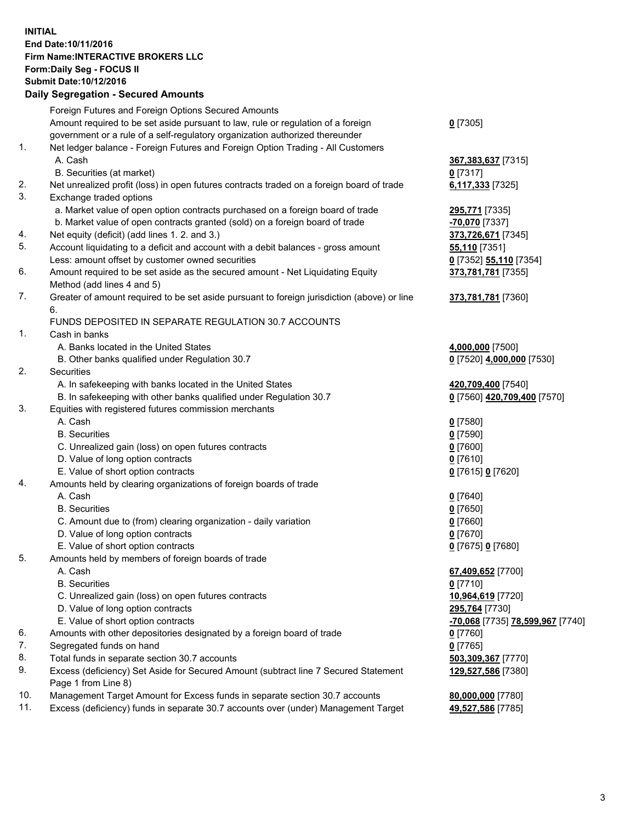## **INITIAL End Date:10/11/2016 Firm Name:INTERACTIVE BROKERS LLC Form:Daily Seg - FOCUS II Submit Date:10/12/2016 Daily Segregation - Secured Amounts**

|     | Daily Segregation - Secured Amounts                                                                        |                                  |
|-----|------------------------------------------------------------------------------------------------------------|----------------------------------|
|     | Foreign Futures and Foreign Options Secured Amounts                                                        |                                  |
|     | Amount required to be set aside pursuant to law, rule or regulation of a foreign                           | $0$ [7305]                       |
|     | government or a rule of a self-regulatory organization authorized thereunder                               |                                  |
| 1.  | Net ledger balance - Foreign Futures and Foreign Option Trading - All Customers                            |                                  |
|     | A. Cash                                                                                                    | 367, 383, 637 [7315]             |
|     | B. Securities (at market)                                                                                  | $0$ [7317]                       |
| 2.  | Net unrealized profit (loss) in open futures contracts traded on a foreign board of trade                  | 6,117,333 [7325]                 |
| 3.  | Exchange traded options                                                                                    |                                  |
|     | a. Market value of open option contracts purchased on a foreign board of trade                             | 295,771 [7335]                   |
|     | b. Market value of open contracts granted (sold) on a foreign board of trade                               | $-70,070$ [7337]                 |
| 4.  | Net equity (deficit) (add lines 1.2. and 3.)                                                               | 373,726,671 [7345]               |
| 5.  | Account liquidating to a deficit and account with a debit balances - gross amount                          | <b>55,110</b> [7351]             |
|     | Less: amount offset by customer owned securities                                                           | 0 [7352] 55,110 [7354]           |
| 6.  | Amount required to be set aside as the secured amount - Net Liquidating Equity                             | 373,781,781 [7355]               |
|     | Method (add lines 4 and 5)                                                                                 |                                  |
| 7.  | Greater of amount required to be set aside pursuant to foreign jurisdiction (above) or line                | 373,781,781 [7360]               |
|     | 6.                                                                                                         |                                  |
|     | FUNDS DEPOSITED IN SEPARATE REGULATION 30.7 ACCOUNTS                                                       |                                  |
| 1.  | Cash in banks                                                                                              |                                  |
|     | A. Banks located in the United States                                                                      | 4,000,000 [7500]                 |
|     | B. Other banks qualified under Regulation 30.7                                                             | 0 [7520] 4,000,000 [7530]        |
| 2.  | Securities                                                                                                 |                                  |
|     | A. In safekeeping with banks located in the United States                                                  | 420,709,400 [7540]               |
|     | B. In safekeeping with other banks qualified under Regulation 30.7                                         | 0 [7560] 420,709,400 [7570]      |
| 3.  | Equities with registered futures commission merchants                                                      |                                  |
|     | A. Cash                                                                                                    | $0$ [7580]                       |
|     | <b>B.</b> Securities                                                                                       | $0$ [7590]                       |
|     | C. Unrealized gain (loss) on open futures contracts                                                        | $0$ [7600]                       |
|     | D. Value of long option contracts                                                                          | $0$ [7610]                       |
|     | E. Value of short option contracts                                                                         | 0 [7615] 0 [7620]                |
| 4.  | Amounts held by clearing organizations of foreign boards of trade                                          |                                  |
|     | A. Cash                                                                                                    | $0$ [7640]                       |
|     | <b>B.</b> Securities                                                                                       | $0$ [7650]                       |
|     | C. Amount due to (from) clearing organization - daily variation                                            | $0$ [7660]                       |
|     | D. Value of long option contracts                                                                          | $0$ [7670]                       |
|     | E. Value of short option contracts                                                                         | 0 [7675] 0 [7680]                |
| 5.  | Amounts held by members of foreign boards of trade                                                         |                                  |
|     | A. Cash                                                                                                    | 67,409,652 [7700]                |
|     | <b>B.</b> Securities                                                                                       | $0$ [7710]                       |
|     | C. Unrealized gain (loss) on open futures contracts                                                        | 10,964,619 [7720]                |
|     | D. Value of long option contracts                                                                          | 295,764 [7730]                   |
|     | E. Value of short option contracts                                                                         | -70,068 [7735] 78,599,967 [7740] |
| 6.  | Amounts with other depositories designated by a foreign board of trade                                     | 0 [7760]                         |
| 7.  | Segregated funds on hand                                                                                   | $0$ [7765]                       |
| 8.  | Total funds in separate section 30.7 accounts                                                              | 503,309,367 [7770]               |
| 9.  | Excess (deficiency) Set Aside for Secured Amount (subtract line 7 Secured Statement<br>Page 1 from Line 8) | 129,527,586 [7380]               |
| 10. | Management Target Amount for Excess funds in separate section 30.7 accounts                                | 80,000,000 [7780]                |
| 11. | Excess (deficiency) funds in separate 30.7 accounts over (under) Management Target                         | 49,527,586 [7785]                |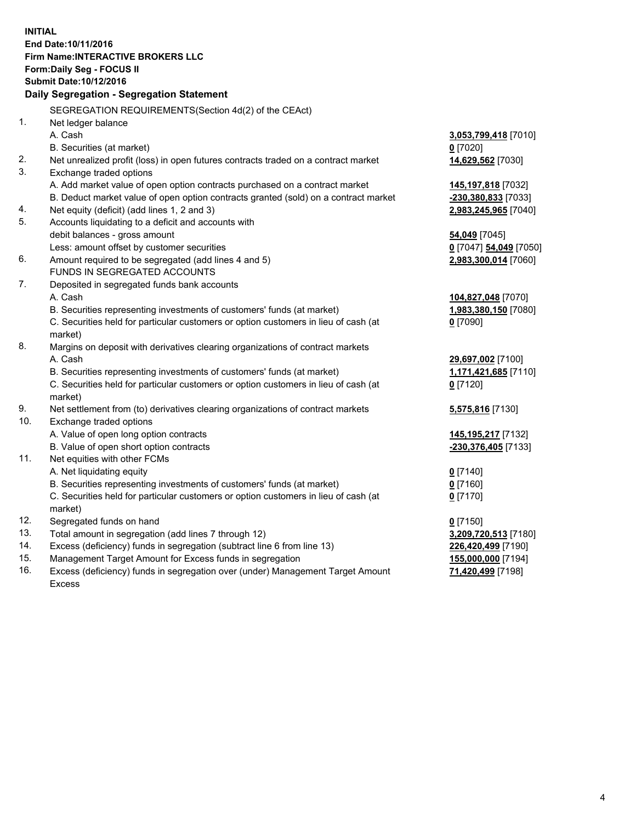**INITIAL End Date:10/11/2016 Firm Name:INTERACTIVE BROKERS LLC Form:Daily Seg - FOCUS II Submit Date:10/12/2016 Daily Segregation - Segregation Statement** SEGREGATION REQUIREMENTS(Section 4d(2) of the CEAct) 1. Net ledger balance A. Cash **3,053,799,418** [7010] B. Securities (at market) **0** [7020] 2. Net unrealized profit (loss) in open futures contracts traded on a contract market **14,629,562** [7030] 3. Exchange traded options A. Add market value of open option contracts purchased on a contract market **145,197,818** [7032] B. Deduct market value of open option contracts granted (sold) on a contract market **-230,380,833** [7033] 4. Net equity (deficit) (add lines 1, 2 and 3) **2,983,245,965** [7040] 5. Accounts liquidating to a deficit and accounts with debit balances - gross amount **54,049** [7045] Less: amount offset by customer securities **0** [7047] **54,049** [7050] 6. Amount required to be segregated (add lines 4 and 5) **2,983,300,014** [7060] FUNDS IN SEGREGATED ACCOUNTS 7. Deposited in segregated funds bank accounts A. Cash **104,827,048** [7070] B. Securities representing investments of customers' funds (at market) **1,983,380,150** [7080] C. Securities held for particular customers or option customers in lieu of cash (at market) **0** [7090] 8. Margins on deposit with derivatives clearing organizations of contract markets A. Cash **29,697,002** [7100] B. Securities representing investments of customers' funds (at market) **1,171,421,685** [7110] C. Securities held for particular customers or option customers in lieu of cash (at market) **0** [7120] 9. Net settlement from (to) derivatives clearing organizations of contract markets **5,575,816** [7130] 10. Exchange traded options A. Value of open long option contracts **145,195,217** [7132] B. Value of open short option contracts **-230,376,405** [7133] 11. Net equities with other FCMs A. Net liquidating equity **0** [7140] B. Securities representing investments of customers' funds (at market) **0** [7160] C. Securities held for particular customers or option customers in lieu of cash (at market) **0** [7170] 12. Segregated funds on hand **0** [7150] 13. Total amount in segregation (add lines 7 through 12) **3,209,720,513** [7180] 14. Excess (deficiency) funds in segregation (subtract line 6 from line 13) **226,420,499** [7190] 15. Management Target Amount for Excess funds in segregation **155,000,000** [7194]

16. Excess (deficiency) funds in segregation over (under) Management Target Amount Excess

**71,420,499** [7198]